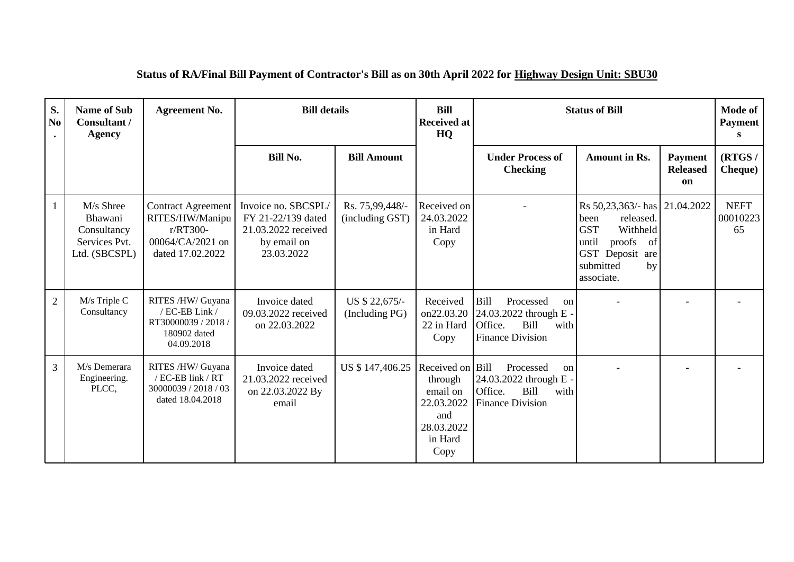| S.<br>N <sub>0</sub> | <b>Name of Sub</b><br>Consultant /<br><b>Agency</b>                   | <b>Agreement No.</b>                                                                             | <b>Bill details</b><br><b>Bill</b><br><b>Status of Bill</b><br><b>Received at</b><br>HQ       |                                    |                                                                                               | Mode of<br><b>Payment</b><br>S                                                                                    |                                                                                                                                             |                                         |                               |
|----------------------|-----------------------------------------------------------------------|--------------------------------------------------------------------------------------------------|-----------------------------------------------------------------------------------------------|------------------------------------|-----------------------------------------------------------------------------------------------|-------------------------------------------------------------------------------------------------------------------|---------------------------------------------------------------------------------------------------------------------------------------------|-----------------------------------------|-------------------------------|
|                      |                                                                       |                                                                                                  | <b>Bill No.</b>                                                                               | <b>Bill Amount</b>                 |                                                                                               | <b>Under Process of</b><br><b>Checking</b>                                                                        | <b>Amount in Rs.</b>                                                                                                                        | <b>Payment</b><br><b>Released</b><br>on | (RTGS/<br><b>Cheque</b> )     |
| -1                   | M/s Shree<br>Bhawani<br>Consultancy<br>Services Pvt.<br>Ltd. (SBCSPL) | <b>Contract Agreement</b><br>RITES/HW/Manipu<br>r/RT300-<br>00064/CA/2021 on<br>dated 17.02.2022 | Invoice no. SBCSPL/<br>FY 21-22/139 dated<br>21.03.2022 received<br>by email on<br>23.03.2022 | Rs. 75,99,448/-<br>(including GST) | Received on<br>24.03.2022<br>in Hard<br>Copy                                                  |                                                                                                                   | Rs 50,23,363/- has<br>released.<br>been<br><b>GST</b><br>Withheld<br>until<br>proofs of<br>GST Deposit are<br>submitted<br>by<br>associate. | 21.04.2022                              | <b>NEFT</b><br>00010223<br>65 |
| $\overline{2}$       | M/s Triple C<br>Consultancy                                           | RITES /HW/ Guyana<br>/ EC-EB Link /<br>RT30000039 / 2018 /<br>180902 dated<br>04.09.2018         | Invoice dated<br>09.03.2022 received<br>on 22.03.2022                                         | US \$ 22,675/-<br>(Including PG)   | Received<br>on22.03.20<br>22 in Hard<br>Copy                                                  | <b>Bill</b><br>Processed<br>on<br>24.03.2022 through E -<br>Office.<br>Bill<br>with<br><b>Finance Division</b>    |                                                                                                                                             |                                         |                               |
| 3                    | M/s Demerara<br>Engineering.<br>PLCC,                                 | RITES /HW/ Guyana<br>/ EC-EB link / RT<br>30000039 / 2018 / 03<br>dated 18.04.2018               | Invoice dated<br>21.03.2022 received<br>on 22.03.2022 By<br>email                             | US \$147,406.25                    | Received on Bill<br>through<br>email on<br>22.03.2022<br>and<br>28.03.2022<br>in Hard<br>Copy | Processed<br><sub>on</sub><br>24.03.2022 through E -<br>Office.<br><b>Bill</b><br>with<br><b>Finance Division</b> |                                                                                                                                             |                                         |                               |

## **Status of RA/Final Bill Payment of Contractor's Bill as on 30th April 2022 for Highway Design Unit: SBU30**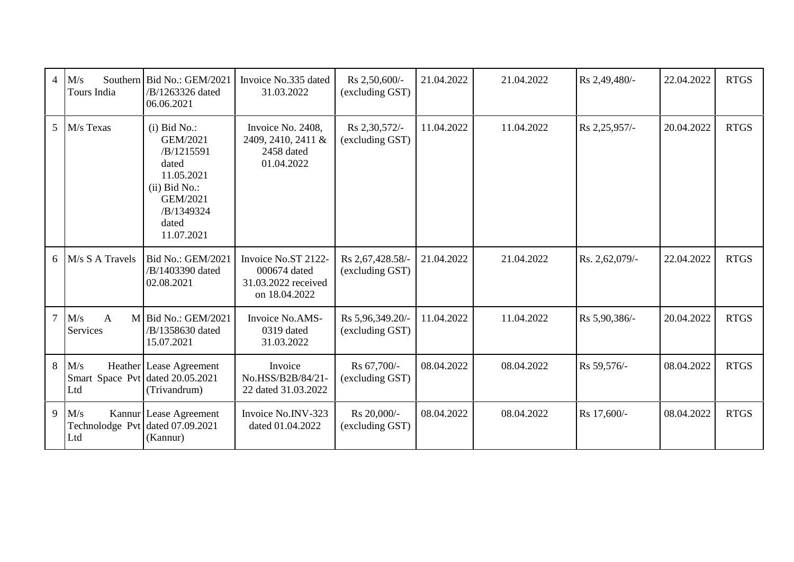| 4 <sup>1</sup> | M/s<br>Tours India                                 | Southern Bid No.: GEM/2021<br>/B/1263326 dated<br>06.06.2021                                                                        | Invoice No.335 dated<br>31.03.2022                                          | Rs 2,50,600/-<br>(excluding GST)    | 21.04.2022 | 21.04.2022 | Rs 2,49,480/-  | 22.04.2022 | <b>RTGS</b> |
|----------------|----------------------------------------------------|-------------------------------------------------------------------------------------------------------------------------------------|-----------------------------------------------------------------------------|-------------------------------------|------------|------------|----------------|------------|-------------|
|                | 5 M/s Texas                                        | $(i)$ Bid No.:<br>GEM/2021<br>/B/1215591<br>dated<br>11.05.2021<br>$(ii)$ Bid No.:<br>GEM/2021<br>/B/1349324<br>dated<br>11.07.2021 | Invoice No. 2408,<br>2409, 2410, 2411 &<br>2458 dated<br>01.04.2022         | Rs 2,30,572/-<br>(excluding GST)    | 11.04.2022 | 11.04.2022 | Rs 2,25,957/-  | 20.04.2022 | <b>RTGS</b> |
|                | $6$ M/s S A Travels                                | Bid No.: GEM/2021<br>/B/1403390 dated<br>02.08.2021                                                                                 | Invoice No.ST 2122-<br>000674 dated<br>31.03.2022 received<br>on 18.04.2022 | Rs 2,67,428.58/-<br>(excluding GST) | 21.04.2022 | 21.04.2022 | Rs. 2,62,079/- | 22.04.2022 | <b>RTGS</b> |
|                | $7$ M/s<br>$\overline{A}$<br>Services              | $M$ Bid No.: GEM/2021<br>/B/1358630 dated<br>15.07.2021                                                                             | Invoice No.AMS-<br>0319 dated<br>31.03.2022                                 | Rs 5,96,349.20/-<br>(excluding GST) | 11.04.2022 | 11.04.2022 | Rs 5,90,386/-  | 20.04.2022 | <b>RTGS</b> |
|                | $8$ M/s<br>Smart Space Pvt dated 20.05.2021<br>Ltd | Heather Lease Agreement<br>(Trivandrum)                                                                                             | Invoice<br>No.HSS/B2B/84/21-<br>22 dated 31.03.2022                         | Rs 67,700/-<br>(excluding GST)      | 08.04.2022 | 08.04.2022 | Rs 59,576/-    | 08.04.2022 | <b>RTGS</b> |
|                | $9$ M/s<br>Technolodge Pvt dated 07.09.2021<br>Ltd | Kannur Lease Agreement<br>(Kannur)                                                                                                  | Invoice No.INV-323<br>dated 01.04.2022                                      | Rs 20,000/-<br>(excluding GST)      | 08.04.2022 | 08.04.2022 | Rs 17,600/-    | 08.04.2022 | <b>RTGS</b> |